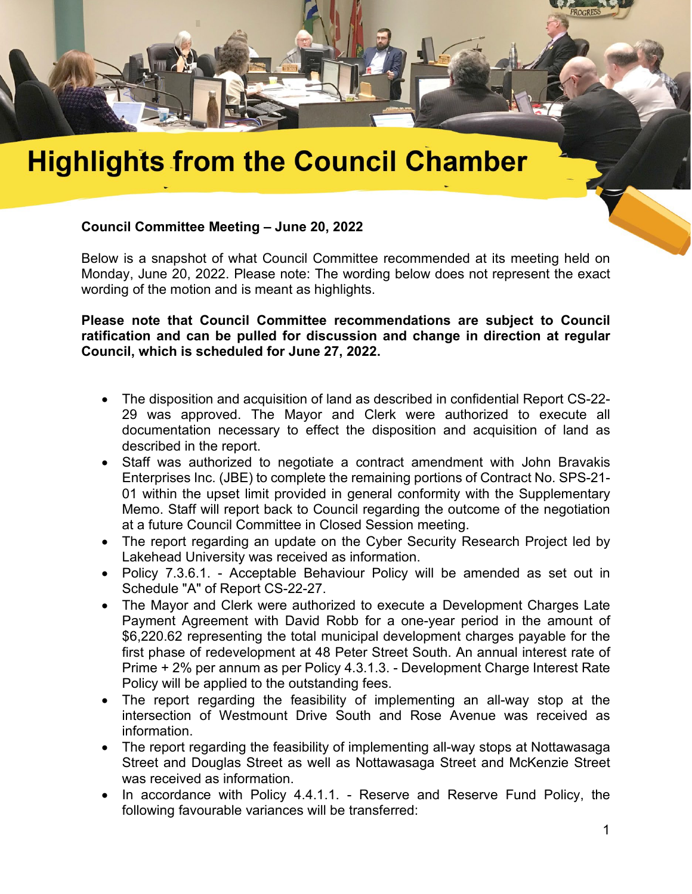

## **Highlights from the Council Chamber**

## **Council Committee Meeting – June 20, 2022**

Below is a snapshot of what Council Committee recommended at its meeting held on Monday, June 20, 2022. Please note: The wording below does not represent the exact wording of the motion and is meant as highlights.

**Please note that Council Committee recommendations are subject to Council ratification and can be pulled for discussion and change in direction at regular Council, which is scheduled for June 27, 2022.** 

- The disposition and acquisition of land as described in confidential Report CS-22- 29 was approved. The Mayor and Clerk were authorized to execute all documentation necessary to effect the disposition and acquisition of land as described in the report.
- Staff was authorized to negotiate a contract amendment with John Bravakis Enterprises Inc. (JBE) to complete the remaining portions of Contract No. SPS-21- 01 within the upset limit provided in general conformity with the Supplementary Memo. Staff will report back to Council regarding the outcome of the negotiation at a future Council Committee in Closed Session meeting.
- The report regarding an update on the Cyber Security Research Project led by Lakehead University was received as information.
- Policy 7.3.6.1. Acceptable Behaviour Policy will be amended as set out in Schedule "A" of Report CS-22-27.
- The Mayor and Clerk were authorized to execute a Development Charges Late Payment Agreement with David Robb for a one-year period in the amount of \$6,220.62 representing the total municipal development charges payable for the first phase of redevelopment at 48 Peter Street South. An annual interest rate of Prime + 2% per annum as per Policy 4.3.1.3. - Development Charge Interest Rate Policy will be applied to the outstanding fees.
- The report regarding the feasibility of implementing an all-way stop at the intersection of Westmount Drive South and Rose Avenue was received as information.
- The report regarding the feasibility of implementing all-way stops at Nottawasaga Street and Douglas Street as well as Nottawasaga Street and McKenzie Street was received as information.
- In accordance with Policy 4.4.1.1. Reserve and Reserve Fund Policy, the following favourable variances will be transferred: